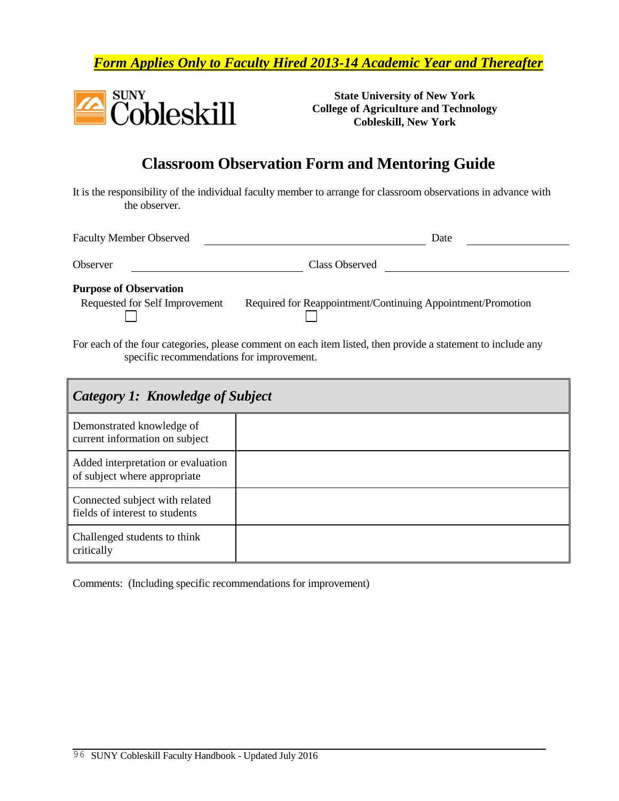*Form Applies Only to Faculty Hired 2013-14 Academic Year and Thereafter*



**State University of New York College of Agriculture and Technology Cobleskill, New York**

## **Classroom Observation Form and Mentoring Guide**

It is the responsibility of the individual faculty member to arrange for classroom observations in advance with the observer.

| <b>Faculty Member Observed</b> | Date                                                        |  |
|--------------------------------|-------------------------------------------------------------|--|
| Observer                       | Class Observed                                              |  |
| <b>Purpose of Observation</b>  |                                                             |  |
| Requested for Self Improvement | Required for Reappointment/Continuing Appointment/Promotion |  |

For each of the four categories, please comment on each item listed, then provide a statement to include any specific recommendations for improvement.

| Category 1: Knowledge of Subject                                   |  |  |
|--------------------------------------------------------------------|--|--|
| Demonstrated knowledge of<br>current information on subject        |  |  |
| Added interpretation or evaluation<br>of subject where appropriate |  |  |
| Connected subject with related<br>fields of interest to students   |  |  |
| Challenged students to think<br>critically                         |  |  |

Comments: (Including specific recommendations for improvement)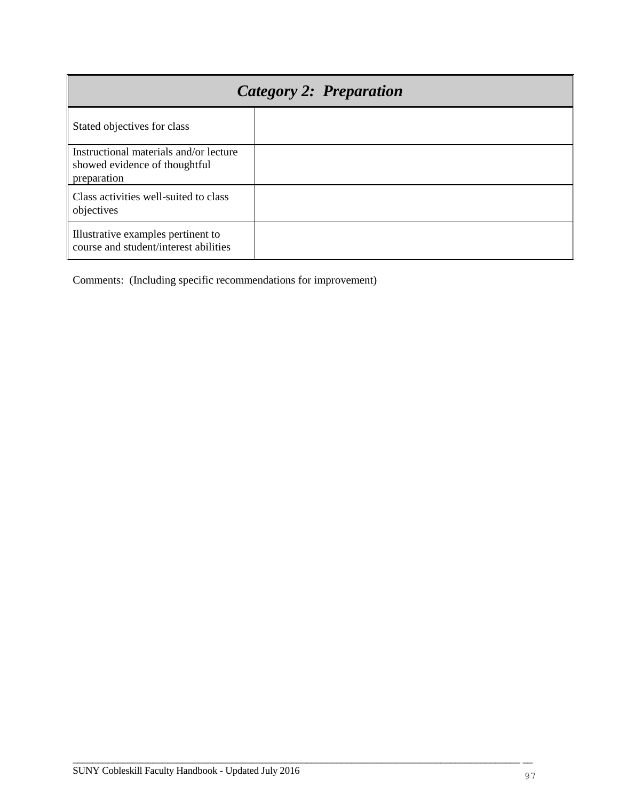| Category 2: Preparation                                                                |  |  |  |
|----------------------------------------------------------------------------------------|--|--|--|
| Stated objectives for class                                                            |  |  |  |
| Instructional materials and/or lecture<br>showed evidence of thoughtful<br>preparation |  |  |  |
| Class activities well-suited to class<br>objectives                                    |  |  |  |
| Illustrative examples pertinent to<br>course and student/interest abilities            |  |  |  |

Comments: (Including specific recommendations for improvement)

 $\overline{\phantom{a}}$  , and the contribution of the contribution of the contribution of the contribution of the contribution of the contribution of the contribution of the contribution of the contribution of the contribution of the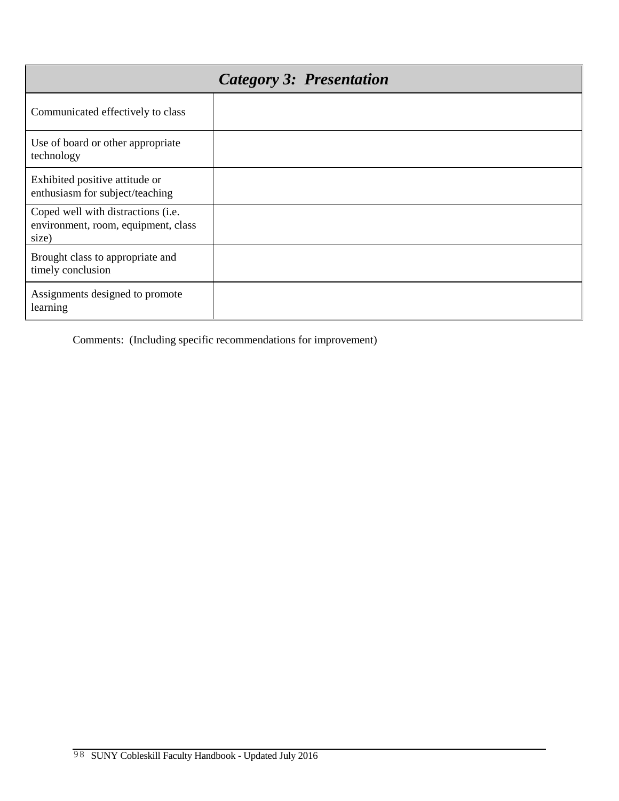|                                                                                    | <b>Category 3: Presentation</b> |
|------------------------------------------------------------------------------------|---------------------------------|
| Communicated effectively to class                                                  |                                 |
| Use of board or other appropriate<br>technology                                    |                                 |
| Exhibited positive attitude or<br>enthusiasm for subject/teaching                  |                                 |
| Coped well with distractions (i.e.<br>environment, room, equipment, class<br>size) |                                 |
| Brought class to appropriate and<br>timely conclusion                              |                                 |
| Assignments designed to promote<br>learning                                        |                                 |

Comments: (Including specific recommendations for improvement)